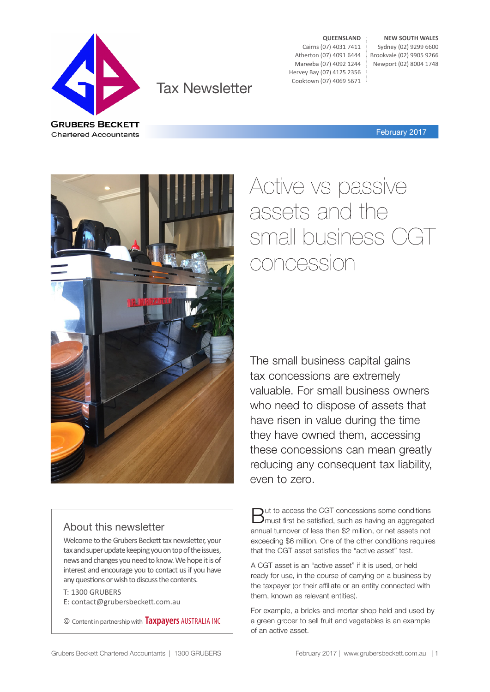

© Content in partnership with **Taxpayers** AUSTRALIA INC

Welcome to the Grubers Beckett tax newsletter, your tax and super update keeping you on top of the issues, news and changes you need to know. We hope it is of interest and encourage you to contact us if you have any questions or wish to discuss the contents.

About this newsletter

E: contact@grubersbeckett.com.au

T: 1300 GRUBERS

### Tax Newsletter

**QUEENSLAND** Cairns (07) 4031 7411 Atherton (07) 4091 6444 Mareeba (07) 4092 1244 Hervey Bay (07) 4125 2356 Cooktown (07) 4069 5671

**NEW SOUTH WALES** Sydney (02) 9299 6600 Brookvale (02) 9905 9266 Newport (02) 8004 1748

February 2017

Active vs passive assets and the small business CGT concession

The small business capital gains tax concessions are extremely valuable. For small business owners who need to dispose of assets that have risen in value during the time they have owned them, accessing these concessions can mean greatly reducing any consequent tax liability, even to zero.

But to access the CGT concessions some conditions must first be satisfied, such as having an aggregated annual turnover of less then \$2 million, or net assets not exceeding \$6 million. One of the other conditions requires that the CGT asset satisfies the "active asset" test.

A CGT asset is an "active asset" if it is used, or held ready for use, in the course of carrying on a business by the taxpayer (or their affiliate or an entity connected with them, known as relevant entities).

For example, a bricks-and-mortar shop held and used by a green grocer to sell fruit and vegetables is an example of an active asset.



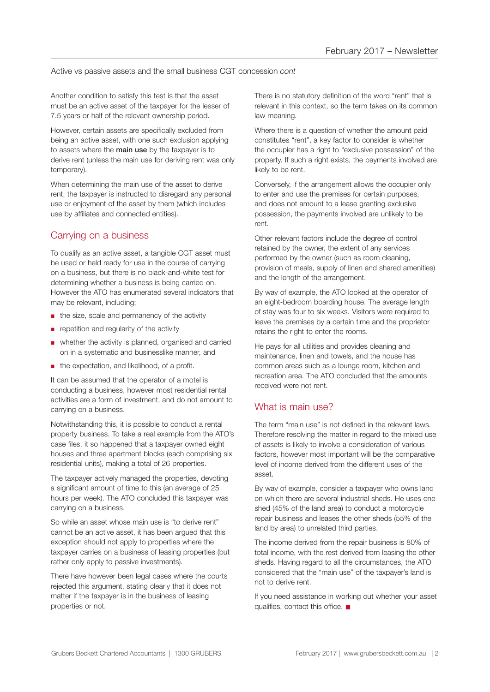#### Active vs passive assets and the small business CGT concession *cont*

Another condition to satisfy this test is that the asset must be an active asset of the taxpayer for the lesser of 7.5 years or half of the relevant ownership period.

However, certain assets are specifically excluded from being an active asset, with one such exclusion applying to assets where the **main use** by the taxpayer is to derive rent (unless the main use for deriving rent was only temporary).

When determining the main use of the asset to derive rent, the taxpayer is instructed to disregard any personal use or enjoyment of the asset by them (which includes use by affiliates and connected entities).

#### Carrying on a business

To qualify as an active asset, a tangible CGT asset must be used or held ready for use in the course of carrying on a business, but there is no black-and-white test for determining whether a business is being carried on. However the ATO has enumerated several indicators that may be relevant, including;

- the size, scale and permanency of the activity
- repetition and regularity of the activity
- whether the activity is planned, organised and carried on in a systematic and businesslike manner, and
- the expectation, and likelihood, of a profit.

It can be assumed that the operator of a motel is conducting a business, however most residential rental activities are a form of investment, and do not amount to carrying on a business.

Notwithstanding this, it is possible to conduct a rental property business. To take a real example from the ATO's case files, it so happened that a taxpayer owned eight houses and three apartment blocks (each comprising six residential units), making a total of 26 properties.

The taxpayer actively managed the properties, devoting a significant amount of time to this (an average of 25 hours per week). The ATO concluded this taxpayer was carrying on a business.

So while an asset whose main use is "to derive rent" cannot be an active asset, it has been argued that this exception should not apply to properties where the taxpayer carries on a business of leasing properties (but rather only apply to passive investments).

There have however been legal cases where the courts rejected this argument, stating clearly that it does not matter if the taxpayer is in the business of leasing properties or not.

There is no statutory definition of the word "rent" that is relevant in this context, so the term takes on its common law meaning.

Where there is a question of whether the amount paid constitutes "rent", a key factor to consider is whether the occupier has a right to "exclusive possession" of the property. If such a right exists, the payments involved are likely to be rent.

Conversely, if the arrangement allows the occupier only to enter and use the premises for certain purposes, and does not amount to a lease granting exclusive possession, the payments involved are unlikely to be rent.

Other relevant factors include the degree of control retained by the owner, the extent of any services performed by the owner (such as room cleaning, provision of meals, supply of linen and shared amenities) and the length of the arrangement.

By way of example, the ATO looked at the operator of an eight-bedroom boarding house. The average length of stay was four to six weeks. Visitors were required to leave the premises by a certain time and the proprietor retains the right to enter the rooms.

He pays for all utilities and provides cleaning and maintenance, linen and towels, and the house has common areas such as a lounge room, kitchen and recreation area. The ATO concluded that the amounts received were not rent.

#### What is main use?

The term "main use" is not defined in the relevant laws. Therefore resolving the matter in regard to the mixed use of assets is likely to involve a consideration of various factors, however most important will be the comparative level of income derived from the different uses of the asset.

By way of example, consider a taxpayer who owns land on which there are several industrial sheds. He uses one shed (45% of the land area) to conduct a motorcycle repair business and leases the other sheds (55% of the land by area) to unrelated third parties.

The income derived from the repair business is 80% of total income, with the rest derived from leasing the other sheds. Having regard to all the circumstances, the ATO considered that the "main use" of the taxpayer's land is not to derive rent.

If you need assistance in working out whether your asset qualifies, contact this office.  $\blacksquare$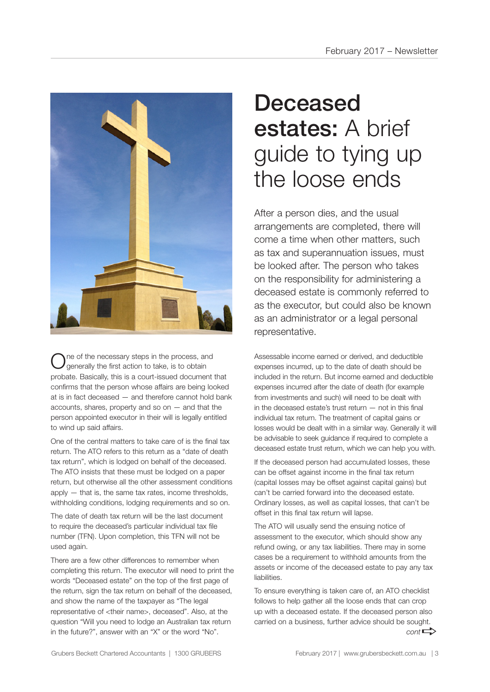

ne of the necessary steps in the process, and generally the first action to take, is to obtain probate. Basically, this is a court-issued document that confirms that the person whose affairs are being looked at is in fact deceased — and therefore cannot hold bank accounts, shares, property and so on  $-$  and that the person appointed executor in their will is legally entitled to wind up said affairs.

One of the central matters to take care of is the final tax return. The ATO refers to this return as a "date of death tax return", which is lodged on behalf of the deceased. The ATO insists that these must be lodged on a paper return, but otherwise all the other assessment conditions apply — that is, the same tax rates, income thresholds, withholding conditions, lodging requirements and so on.

The date of death tax return will be the last document to require the deceased's particular individual tax file number (TFN). Upon completion, this TFN will not be used again.

There are a few other differences to remember when completing this return. The executor will need to print the words "Deceased estate" on the top of the first page of the return, sign the tax return on behalf of the deceased, and show the name of the taxpayer as "The legal representative of <their name>, deceased". Also, at the question "Will you need to lodge an Australian tax return in the future?", answer with an "X" or the word "No".

# Deceased estates: A brief guide to tying up the loose ends

After a person dies, and the usual arrangements are completed, there will come a time when other matters, such as tax and superannuation issues, must be looked after. The person who takes on the responsibility for administering a deceased estate is commonly referred to as the executor, but could also be known as an administrator or a legal personal representative.

Assessable income earned or derived, and deductible expenses incurred, up to the date of death should be included in the return. But income earned and deductible expenses incurred after the date of death (for example from investments and such) will need to be dealt with in the deceased estate's trust return — not in this final individual tax return. The treatment of capital gains or losses would be dealt with in a similar way. Generally it will be advisable to seek guidance if required to complete a deceased estate trust return, which we can help you with.

If the deceased person had accumulated losses, these can be offset against income in the final tax return (capital losses may be offset against capital gains) but can't be carried forward into the deceased estate. Ordinary losses, as well as capital losses, that can't be offset in this final tax return will lapse.

The ATO will usually send the ensuing notice of assessment to the executor, which should show any refund owing, or any tax liabilities. There may in some cases be a requirement to withhold amounts from the assets or income of the deceased estate to pay any tax liabilities.

To ensure everything is taken care of, an ATO checklist follows to help gather all the loose ends that can crop up with a deceased estate. If the deceased person also carried on a business, further advice should be sought.  $cont \rightarrow$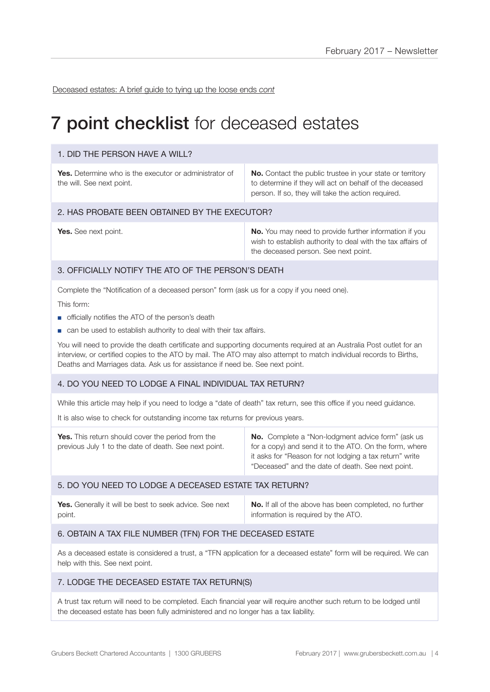Deceased estates: A brief guide to tying up the loose ends *cont*

### **7 point checklist** for deceased estates

#### 1. DID THE PERSON HAVE A WILL?

**Yes.** Determine who is the executor or administrator of the will. See next point.

**No.** Contact the public trustee in your state or territory to determine if they will act on behalf of the deceased person. If so, they will take the action required.

#### 2. HAS PROBATE BEEN OBTAINED BY THE EXECUTOR?

**Yes.** See next point. **No. No.** You may need to provide further information if you wish to establish authority to deal with the tax affairs of the deceased person. See next point.

#### 3. OFFICIALLY NOTIFY THE ATO OF THE PERSON'S DEATH

Complete the "Notification of a deceased person" form (ask us for a copy if you need one).

This form:

- officially notifies the ATO of the person's death
- can be used to establish authority to deal with their tax affairs.

You will need to provide the death certificate and supporting documents required at an Australia Post outlet for an interview, or certified copies to the ATO by mail. The ATO may also attempt to match individual records to Births, Deaths and Marriages data. Ask us for assistance if need be. See next point.

#### 4. DO YOU NEED TO LODGE A FINAL INDIVIDUAL TAX RETURN?

While this article may help if you need to lodge a "date of death" tax return, see this office if you need guidance.

It is also wise to check for outstanding income tax returns for previous years.

| <b>No.</b> Complete a "Non-lodgment advice form" (ask us<br><b>Yes.</b> This return should cover the period from the<br>for a copy) and send it to the ATO. On the form, where<br>previous July 1 to the date of death. See next point.<br>it asks for "Reason for not lodging a tax return" write<br>"Deceased" and the date of death. See next point. |
|---------------------------------------------------------------------------------------------------------------------------------------------------------------------------------------------------------------------------------------------------------------------------------------------------------------------------------------------------------|
|---------------------------------------------------------------------------------------------------------------------------------------------------------------------------------------------------------------------------------------------------------------------------------------------------------------------------------------------------------|

#### 5. DO YOU NEED TO LODGE A DECEASED ESTATE TAX RETURN?

| Yes. Generally it will be best to seek advice. See next | <b>No.</b> If all of the above has been completed, no further |
|---------------------------------------------------------|---------------------------------------------------------------|
| point.                                                  | information is required by the ATO.                           |

#### 6. OBTAIN A TAX FILE NUMBER (TFN) FOR THE DECEASED ESTATE

As a deceased estate is considered a trust, a "TFN application for a deceased estate" form will be required. We can help with this. See next point.

#### 7. LODGE THE DECEASED ESTATE TAX RETURN(S)

A trust tax return will need to be completed. Each financial year will require another such return to be lodged until the deceased estate has been fully administered and no longer has a tax liability.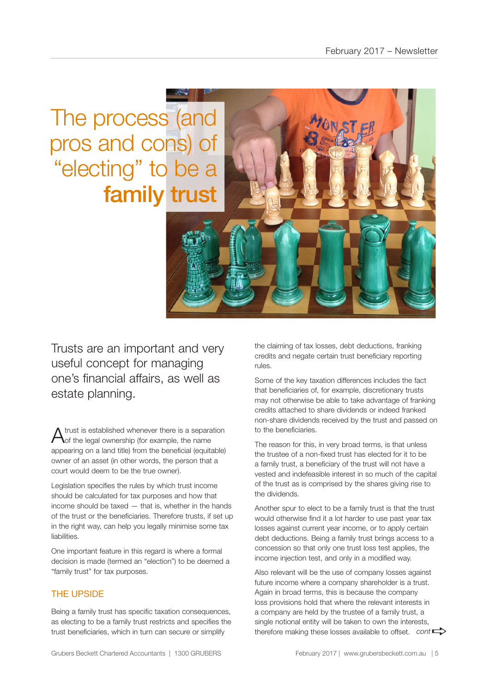The process (and pros and cons) of "electing" to be a family trust

Trusts are an important and very useful concept for managing one's financial affairs, as well as estate planning.

A trust is established whenever there is a separation of the legal ownership (for example, the name appearing on a land title) from the beneficial (equitable) owner of an asset (in other words, the person that a court would deem to be the true owner).

Legislation specifies the rules by which trust income should be calculated for tax purposes and how that income should be taxed — that is, whether in the hands of the trust or the beneficiaries. Therefore trusts, if set up in the right way, can help you legally minimise some tax liabilities.

One important feature in this regard is where a formal decision is made (termed an "election") to be deemed a "family trust" for tax purposes.

#### THE UPSIDE

Being a family trust has specific taxation consequences, as electing to be a family trust restricts and specifies the trust beneficiaries, which in turn can secure or simplify

the claiming of tax losses, debt deductions, franking credits and negate certain trust beneficiary reporting rules.

Some of the key taxation differences includes the fact that beneficiaries of, for example, discretionary trusts may not otherwise be able to take advantage of franking credits attached to share dividends or indeed franked non-share dividends received by the trust and passed on to the beneficiaries.

The reason for this, in very broad terms, is that unless the trustee of a non-fixed trust has elected for it to be a family trust, a beneficiary of the trust will not have a vested and indefeasible interest in so much of the capital of the trust as is comprised by the shares giving rise to the dividends.

Another spur to elect to be a family trust is that the trust would otherwise find it a lot harder to use past year tax losses against current year income, or to apply certain debt deductions. Being a family trust brings access to a concession so that only one trust loss test applies, the income injection test, and only in a modified way.

Also relevant will be the use of company losses against future income where a company shareholder is a trust. Again in broad terms, this is because the company loss provisions hold that where the relevant interests in a company are held by the trustee of a family trust, a single notional entity will be taken to own the interests, single notional entity will be taken to own the interests,<br>therefore making these losses available to offset. *cont*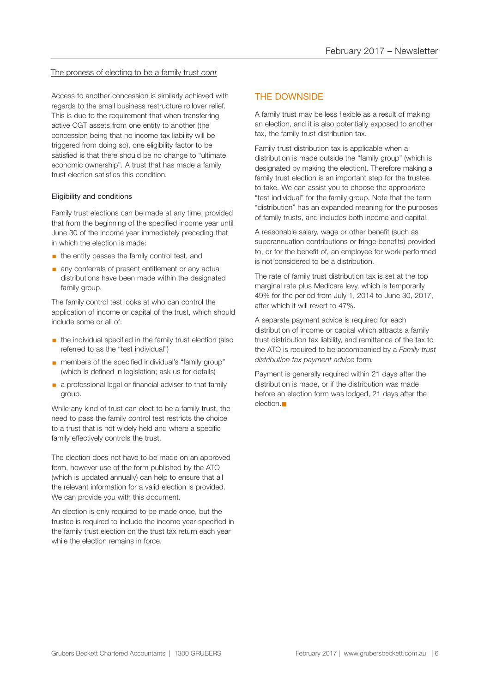#### The process of electing to be a family trust *cont*

Access to another concession is similarly achieved with regards to the small business restructure rollover relief. This is due to the requirement that when transferring active CGT assets from one entity to another (the concession being that no income tax liability will be triggered from doing so), one eligibility factor to be satisfied is that there should be no change to "ultimate economic ownership". A trust that has made a family trust election satisfies this condition.

#### Eligibility and conditions

Family trust elections can be made at any time, provided that from the beginning of the specified income year until June 30 of the income year immediately preceding that in which the election is made:

- $\blacksquare$  the entity passes the family control test, and
- **any conferrals of present entitlement or any actual** distributions have been made within the designated family group.

The family control test looks at who can control the application of income or capital of the trust, which should include some or all of:

- **•** the individual specified in the family trust election (also referred to as the "test individual")
- members of the specified individual's "family group" (which is defined in legislation; ask us for details)
- **a** a professional legal or financial adviser to that family group.

While any kind of trust can elect to be a family trust, the need to pass the family control test restricts the choice to a trust that is not widely held and where a specific family effectively controls the trust.

The election does not have to be made on an approved form, however use of the form published by the ATO (which is updated annually) can help to ensure that all the relevant information for a valid election is provided. We can provide you with this document.

An election is only required to be made once, but the trustee is required to include the income year specified in the family trust election on the trust tax return each year while the election remains in force.

#### THE DOWNSIDE

A family trust may be less flexible as a result of making an election, and it is also potentially exposed to another tax, the family trust distribution tax.

Family trust distribution tax is applicable when a distribution is made outside the "family group" (which is designated by making the election). Therefore making a family trust election is an important step for the trustee to take. We can assist you to choose the appropriate "test individual" for the family group. Note that the term "distribution" has an expanded meaning for the purposes of family trusts, and includes both income and capital.

A reasonable salary, wage or other benefit (such as superannuation contributions or fringe benefits) provided to, or for the benefit of, an employee for work performed is not considered to be a distribution.

The rate of family trust distribution tax is set at the top marginal rate plus Medicare levy, which is temporarily 49% for the period from July 1, 2014 to June 30, 2017, after which it will revert to 47%.

A separate payment advice is required for each distribution of income or capital which attracts a family trust distribution tax liability, and remittance of the tax to the ATO is required to be accompanied by a *Family trust distribution tax payment advice* form*.*

Payment is generally required within 21 days after the distribution is made, or if the distribution was made before an election form was lodged, 21 days after the  $e$ lection. $\blacksquare$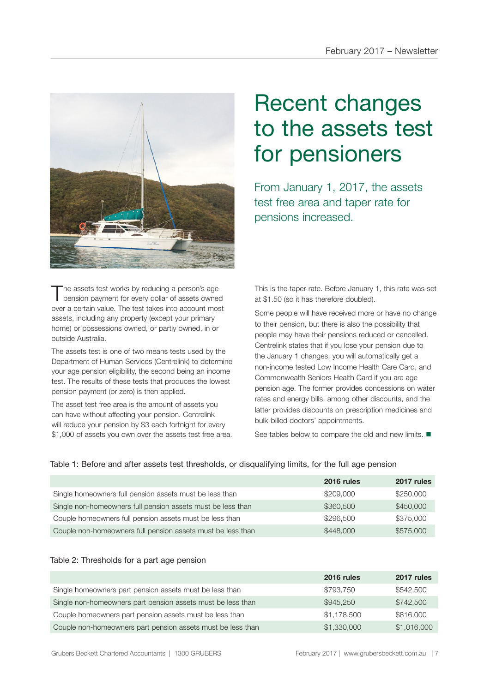

The assets test works by reducing a person's age<br>pension payment for every dollar of assets owned over a certain value. The test takes into account most assets, including any property (except your primary home) or possessions owned, or partly owned, in or outside Australia.

The assets test is one of two means tests used by the Department of Human Services (Centrelink) to determine your age pension eligibility, the second being an income test. The results of these tests that produces the lowest pension payment (or zero) is then applied.

The asset test free area is the amount of assets you can have without affecting your pension. Centrelink will reduce your pension by \$3 each fortnight for every \$1,000 of assets you own over the assets test free area.

# Recent changes to the assets test for pensioners

From January 1, 2017, the assets test free area and taper rate for pensions increased.

This is the taper rate. Before January 1, this rate was set at \$1.50 (so it has therefore doubled).

Some people will have received more or have no change to their pension, but there is also the possibility that people may have their pensions reduced or cancelled. Centrelink states that if you lose your pension due to the January 1 changes, you will automatically get a non-income tested Low Income Health Care Card, and Commonwealth Seniors Health Card if you are age pension age. The former provides concessions on water rates and energy bills, among other discounts, and the latter provides discounts on prescription medicines and bulk-billed doctors' appointments.

See tables below to compare the old and new limits.  $\blacksquare$ 

|  |  |  |  | Table 1: Before and after assets test thresholds, or disqualifying limits, for the full age pension |
|--|--|--|--|-----------------------------------------------------------------------------------------------------|
|  |  |  |  |                                                                                                     |

|                                                             | 2016 rules | 2017 rules |
|-------------------------------------------------------------|------------|------------|
| Single homeowners full pension assets must be less than     | \$209,000  | \$250,000  |
| Single non-homeowners full pension assets must be less than | \$360,500  | \$450,000  |
| Couple homeowners full pension assets must be less than     | \$296,500  | \$375,000  |
| Couple non-homeowners full pension assets must be less than | \$448,000  | \$575,000  |

#### Table 2: Thresholds for a part age pension

|                                                             | 2016 rules  | 2017 rules  |
|-------------------------------------------------------------|-------------|-------------|
| Single homeowners part pension assets must be less than     | \$793.750   | \$542,500   |
| Single non-homeowners part pension assets must be less than | \$945,250   | \$742,500   |
| Couple homeowners part pension assets must be less than     | \$1,178,500 | \$816,000   |
| Couple non-homeowners part pension assets must be less than | \$1,330,000 | \$1,016,000 |